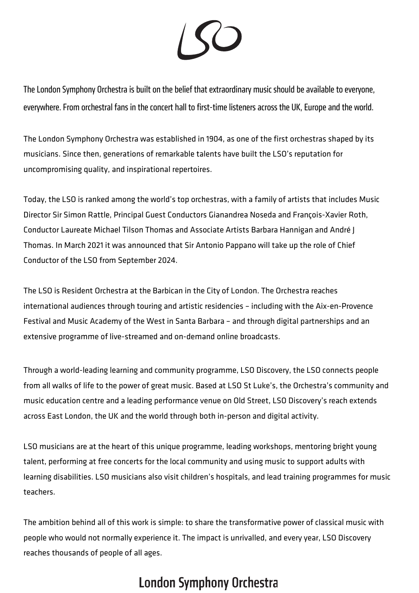

The London Symphony Orchestra is built on the belief that extraordinary music should be available to everyone, everywhere. From orchestral fans in the concert hall to first-time listeners across the UK, Europe and the world.

The London Symphony Orchestra was established in 1904, as one of the first orchestras shaped by its musicians. Since then, generations of remarkable talents have built the LSO's reputation for uncompromising quality, and inspirational repertoires.

Today, the LSO is ranked among the world's top orchestras, with a family of artists that includes Music Director Sir Simon Rattle, Principal Guest Conductors Gianandrea Noseda and François-Xavier Roth, Conductor Laureate Michael Tilson Thomas and Associate Artists Barbara Hannigan and André J Thomas. In March 2021 it was announced that Sir Antonio Pappano will take up the role of Chief Conductor of the LSO from September 2024.

The LSO is Resident Orchestra at the Barbican in the City of London. The Orchestra reaches international audiences through touring and artistic residencies – including with the Aix-en-Provence Festival and Music Academy of the West in Santa Barbara – and through digital partnerships and an extensive programme of live-streamed and on-demand online broadcasts.

Through a world-leading learning and community programme, LSO Discovery, the LSO connects people from all walks of life to the power of great music. Based at LSO St Luke's, the Orchestra's community and music education centre and a leading performance venue on Old Street, LSO Discovery's reach extends across East London, the UK and the world through both in-person and digital activity.

LSO musicians are at the heart of this unique programme, leading workshops, mentoring bright young talent, performing at free concerts for the local community and using music to support adults with learning disabilities. LSO musicians also visit children's hospitals, and lead training programmes for music teachers.

The ambition behind all of this work is simple: to share the transformative power of classical music with people who would not normally experience it. The impact is unrivalled, and every year, LSO Discovery reaches thousands of people of all ages.

## **London Symphony Orchestra**